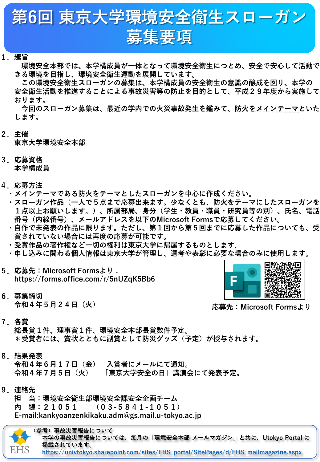

## **1.趣旨**

**環境安全本部では、本学構成員が一体となって環境安全衛生につとめ、安全で安心して活動で きる環境を目指し、環境安全衛生運動を展開しています。**

**この環境安全衛生スローガンの募集は、本学構成員の安全衛生の意識の醸成を図り、本学の 安全衛生活動を推進することによる事故災害等の防止を目的として、平成29年度から実施して おります。**

**今回のスローガン募集は、最近の学内での火災事故発生を鑑みて、防火をメインテーマといた します。**

- **2.主催 東京大学環境安全本部**
- **3.応募資格 本学構成員**
- **4.応募方法**
	- **・メインテーマである防火をテーマとしたスローガンを中心に作成ください。**
	- **・スローガン作品(一人で5点まで応募出来ます。少なくとも、防火をテーマにしたスローガンを 1点以上お願いします。)、所属部局、身分(学生・教員・職員・研究員等の別)、氏名、電話 番号(内線番号)、メールアドレスを以下のMicrosoft Formsで応募してください。**
	- **・自作で未発表の作品に限ります。ただし、第1回から第5回までに応募した作品についても、受 賞されていない場合には再度の応募が可能です。**
	- **・受賞作品の著作権など一切の権利は東京大学に帰属するものとします.**
	- **・申し込みに関わる個人情報は東京大学が管理し、選考や表彰に必要な場合のみに使用します。**
- **5.応募先:Microsoft Formsより↓ https://forms.office.com/r/5nUZqK5Bb6**
- **6.募集締切 令和4年5月24日(火)**



**応募先:Microsoft Formsより**

**7.各賞**

**総長賞1件、理事賞1件、環境安全本部長賞数件予定。 \*受賞者には、賞状とともに副賞として防災グッズ(予定)が授与されます。**

**8.結果発表**

**令和4年6月17日(金) 入賞者にメールにて通知。 令和4年7月5日(火) 「東京大学安全の日」講演会にて発表予定。**

**9.連絡先**

**担 当:環境安全衛生部環境安全課安全企画チーム 内 線:21051 (03-5841-1051) E-mail:kankyoanzenkikaku.adm@gs.mail.u-tokyo.ac.jp**



**(参考)事故災害報告について 本学の事故災害報告については、毎月の「環境安全本部 メールマガジン」と共に,Utokyo Portal に 掲載されています。 [https://univtokyo.sharepoint.com/sites/EHS\\_portal/SitePages/d/EHS\\_mailmagazine.aspx](https://univtokyo.sharepoint.com/sites/EHS_portal/SitePages/d/EHS_mailmagazine.aspx)**